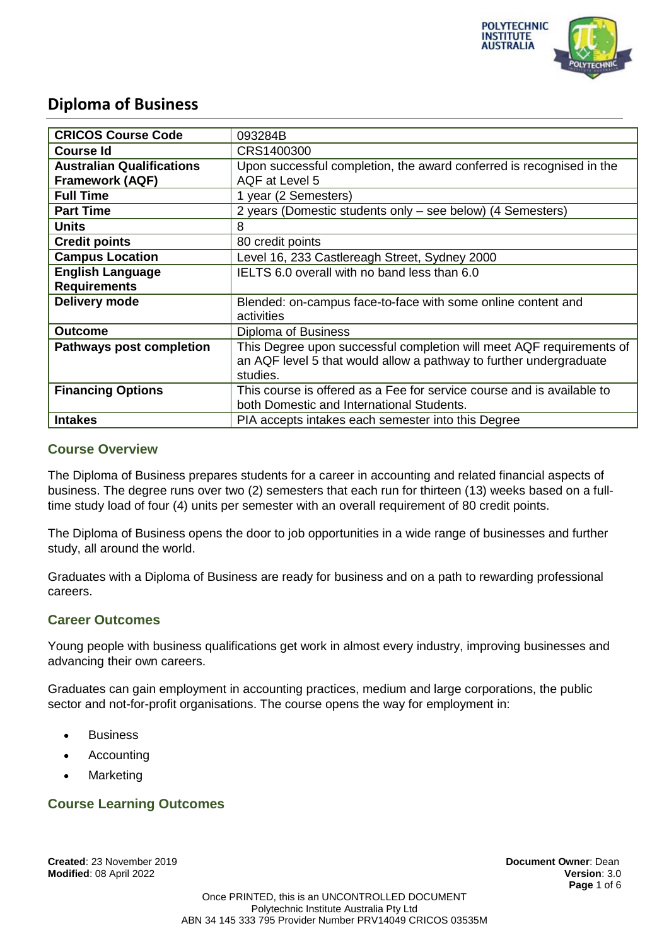

| <b>CRICOS Course Code</b>        | 093284B                                                                |  |  |
|----------------------------------|------------------------------------------------------------------------|--|--|
| <b>Course Id</b>                 | CRS1400300                                                             |  |  |
| <b>Australian Qualifications</b> | Upon successful completion, the award conferred is recognised in the   |  |  |
| <b>Framework (AQF)</b>           | AQF at Level 5                                                         |  |  |
| <b>Full Time</b>                 | 1 year (2 Semesters)                                                   |  |  |
| <b>Part Time</b>                 | 2 years (Domestic students only – see below) (4 Semesters)             |  |  |
| <b>Units</b>                     | 8                                                                      |  |  |
| <b>Credit points</b>             | 80 credit points                                                       |  |  |
| <b>Campus Location</b>           | Level 16, 233 Castlereagh Street, Sydney 2000                          |  |  |
| <b>English Language</b>          | IELTS 6.0 overall with no band less than 6.0                           |  |  |
| <b>Requirements</b>              |                                                                        |  |  |
| Delivery mode                    | Blended: on-campus face-to-face with some online content and           |  |  |
|                                  | activities                                                             |  |  |
| <b>Outcome</b>                   | Diploma of Business                                                    |  |  |
| <b>Pathways post completion</b>  | This Degree upon successful completion will meet AQF requirements of   |  |  |
|                                  | an AQF level 5 that would allow a pathway to further undergraduate     |  |  |
|                                  | studies.                                                               |  |  |
| <b>Financing Options</b>         | This course is offered as a Fee for service course and is available to |  |  |
|                                  | both Domestic and International Students.                              |  |  |
| <b>Intakes</b>                   | PIA accepts intakes each semester into this Degree                     |  |  |

### **Course Overview**

The Diploma of Business prepares students for a career in accounting and related financial aspects of business. The degree runs over two (2) semesters that each run for thirteen (13) weeks based on a fulltime study load of four (4) units per semester with an overall requirement of 80 credit points.

The Diploma of Business opens the door to job opportunities in a wide range of businesses and further study, all around the world.

Graduates with a Diploma of Business are ready for business and on a path to rewarding professional careers.

### **Career Outcomes**

Young people with business qualifications get work in almost every industry, improving businesses and advancing their own careers.

Graduates can gain employment in accounting practices, medium and large corporations, the public sector and not-for-profit organisations. The course opens the way for employment in:

- **Business**
- Accounting
- Marketing

### **Course Learning Outcomes**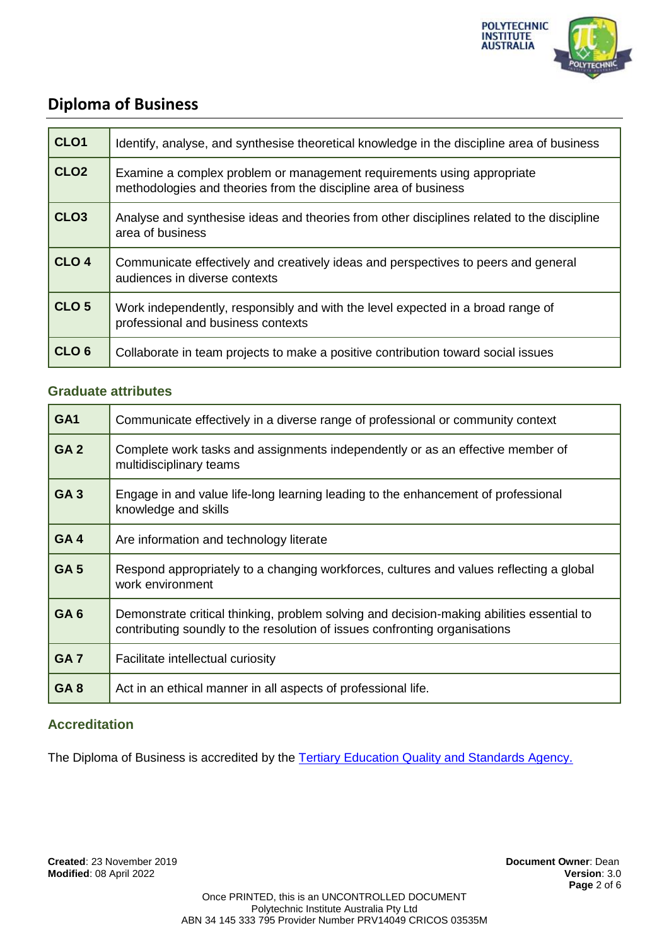

| CLO <sub>1</sub> | Identify, analyse, and synthesise theoretical knowledge in the discipline area of business                                                |
|------------------|-------------------------------------------------------------------------------------------------------------------------------------------|
| CLO <sub>2</sub> | Examine a complex problem or management requirements using appropriate<br>methodologies and theories from the discipline area of business |
| CLO <sub>3</sub> | Analyse and synthesise ideas and theories from other disciplines related to the discipline<br>area of business                            |
| CLO <sub>4</sub> | Communicate effectively and creatively ideas and perspectives to peers and general<br>audiences in diverse contexts                       |
| CLO <sub>5</sub> | Work independently, responsibly and with the level expected in a broad range of<br>professional and business contexts                     |
| CLO <sub>6</sub> | Collaborate in team projects to make a positive contribution toward social issues                                                         |

### **Graduate attributes**

| GA <sub>1</sub> | Communicate effectively in a diverse range of professional or community context                                                                                         |  |
|-----------------|-------------------------------------------------------------------------------------------------------------------------------------------------------------------------|--|
| GA <sub>2</sub> | Complete work tasks and assignments independently or as an effective member of<br>multidisciplinary teams                                                               |  |
| <b>GA3</b>      | Engage in and value life-long learning leading to the enhancement of professional<br>knowledge and skills                                                               |  |
| GA4             | Are information and technology literate                                                                                                                                 |  |
| GA <sub>5</sub> | Respond appropriately to a changing workforces, cultures and values reflecting a global<br>work environment                                                             |  |
| GA <sub>6</sub> | Demonstrate critical thinking, problem solving and decision-making abilities essential to<br>contributing soundly to the resolution of issues confronting organisations |  |
| GA <sub>7</sub> | Facilitate intellectual curiosity                                                                                                                                       |  |
| GA <sub>8</sub> | Act in an ethical manner in all aspects of professional life.                                                                                                           |  |

## **Accreditation**

The Diploma of Business is accredited by the **Tertiary Education Quality and Standards Agency**.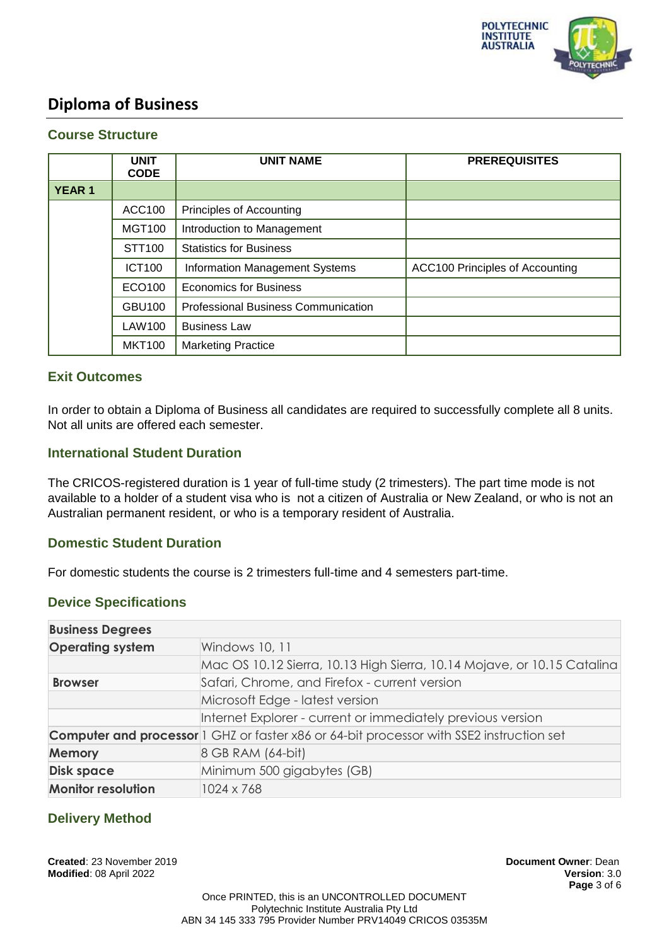

### **Course Structure**

|              | <b>UNIT</b><br><b>CODE</b> | <b>UNIT NAME</b>                           | <b>PREREQUISITES</b>            |
|--------------|----------------------------|--------------------------------------------|---------------------------------|
| <b>YEAR1</b> |                            |                                            |                                 |
|              | <b>ACC100</b>              | Principles of Accounting                   |                                 |
|              | <b>MGT100</b>              | Introduction to Management                 |                                 |
|              | STT100                     | <b>Statistics for Business</b>             |                                 |
|              | <b>ICT100</b>              | <b>Information Management Systems</b>      | ACC100 Principles of Accounting |
|              | ECO100                     | <b>Economics for Business</b>              |                                 |
|              | <b>GBU100</b>              | <b>Professional Business Communication</b> |                                 |
|              | LAW100                     | <b>Business Law</b>                        |                                 |
|              | <b>MKT100</b>              | <b>Marketing Practice</b>                  |                                 |

### **Exit Outcomes**

In order to obtain a Diploma of Business all candidates are required to successfully complete all 8 units. Not all units are offered each semester.

### **International Student Duration**

The CRICOS-registered duration is 1 year of full-time study (2 trimesters). The part time mode is not available to a holder of a student visa who is not a citizen of Australia or New Zealand, or who is not an Australian permanent resident, or who is a temporary resident of Australia.

### **Domestic Student Duration**

For domestic students the course is 2 trimesters full-time and 4 semesters part-time.

### **Device Specifications**

| <b>Business Degrees</b>   |                                                                                                 |  |  |
|---------------------------|-------------------------------------------------------------------------------------------------|--|--|
| <b>Operating system</b>   | Windows 10, 11                                                                                  |  |  |
|                           | Mac OS 10.12 Sierra, 10.13 High Sierra, 10.14 Mojave, or 10.15 Catalina                         |  |  |
| <b>Browser</b>            | Safari, Chrome, and Firefox - current version                                                   |  |  |
|                           | Microsoft Edge - latest version                                                                 |  |  |
|                           | Internet Explorer - current or immediately previous version                                     |  |  |
|                           | <b>Computer and processor</b> 1 GHZ or faster x86 or 64-bit processor with SSE2 instruction set |  |  |
| <b>Memory</b>             | 8 GB RAM (64-bit)                                                                               |  |  |
| <b>Disk space</b>         | Minimum 500 gigabytes (GB)                                                                      |  |  |
| <b>Monitor resolution</b> | 1024 x 768                                                                                      |  |  |

### **Delivery Method**

**Created**: 23 November 2019 **Document Owner**: Dean **Modified**: 08 April 2022 **Version**: 3.0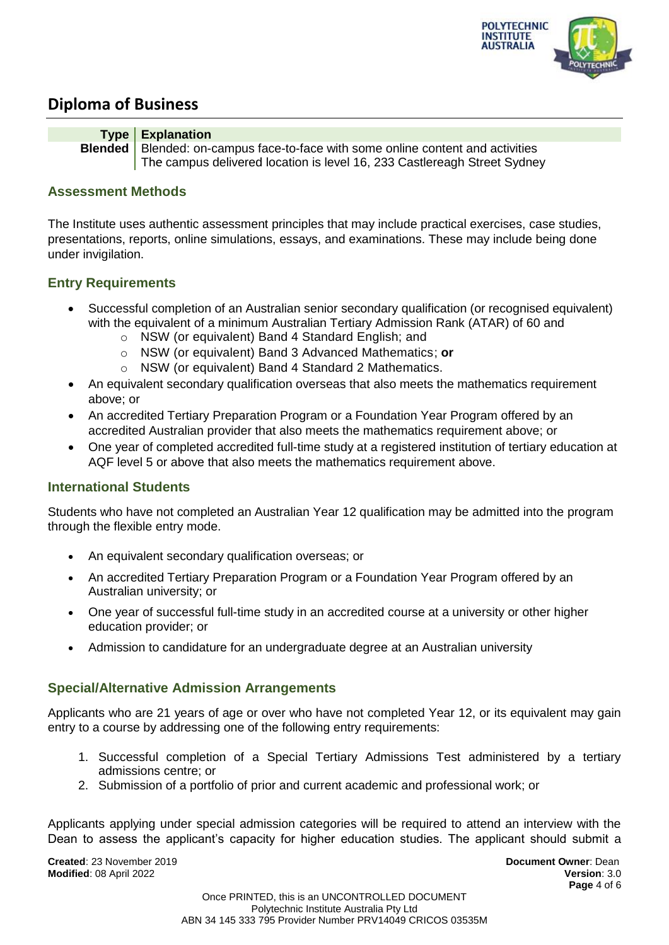



### **Assessment Methods**

The Institute uses authentic assessment principles that may include practical exercises, case studies, presentations, reports, online simulations, essays, and examinations. These may include being done under invigilation.

### **Entry Requirements**

- Successful completion of an Australian senior secondary qualification (or recognised equivalent) with the equivalent of a minimum Australian Tertiary Admission Rank (ATAR) of 60 and
	- o NSW (or equivalent) Band 4 Standard English; and
	- o NSW (or equivalent) Band 3 Advanced Mathematics; **or**
	- o NSW (or equivalent) Band 4 Standard 2 Mathematics.
- An equivalent secondary qualification overseas that also meets the mathematics requirement above; or
- An accredited Tertiary Preparation Program or a Foundation Year Program offered by an accredited Australian provider that also meets the mathematics requirement above; or
- One year of completed accredited full-time study at a registered institution of tertiary education at AQF level 5 or above that also meets the mathematics requirement above.

### **International Students**

Students who have not completed an Australian Year 12 qualification may be admitted into the program through the flexible entry mode.

- An equivalent secondary qualification overseas; or
- An accredited Tertiary Preparation Program or a Foundation Year Program offered by an Australian university; or
- One year of successful full-time study in an accredited course at a university or other higher education provider; or
- Admission to candidature for an undergraduate degree at an Australian university

### **Special/Alternative Admission Arrangements**

Applicants who are 21 years of age or over who have not completed Year 12, or its equivalent may gain entry to a course by addressing one of the following entry requirements:

- 1. Successful completion of a Special Tertiary Admissions Test administered by a tertiary admissions centre; or
- 2. Submission of a portfolio of prior and current academic and professional work; or

Applicants applying under special admission categories will be required to attend an interview with the Dean to assess the applicant's capacity for higher education studies. The applicant should submit a

**Created**: 23 November 2019 **Document Owner**: Dean **Modified**: 08 April 2022 **Version**: 3.0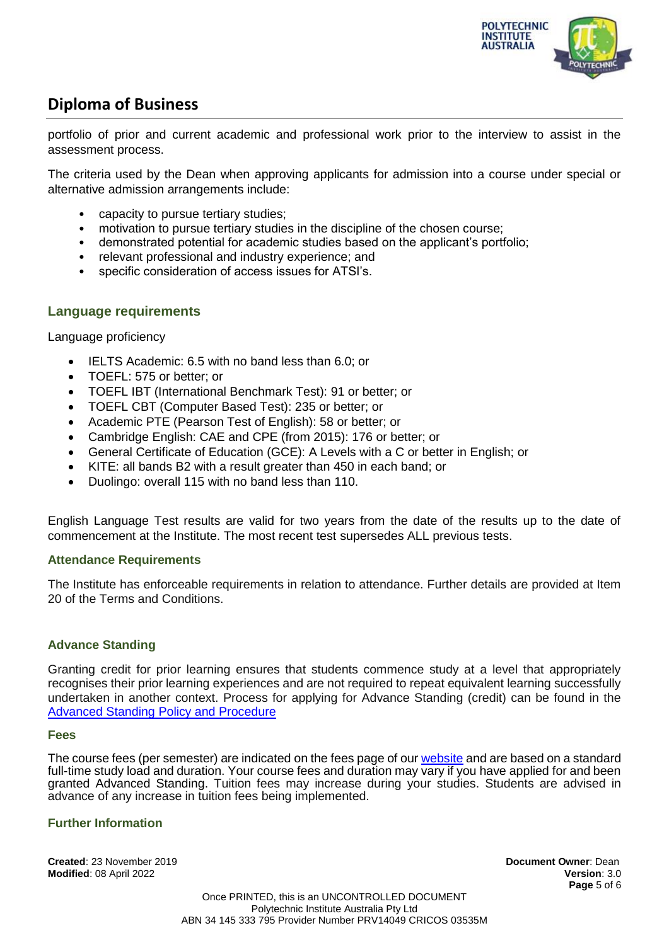

portfolio of prior and current academic and professional work prior to the interview to assist in the assessment process.

The criteria used by the Dean when approving applicants for admission into a course under special or alternative admission arrangements include:

- capacity to pursue tertiary studies;
- motivation to pursue tertiary studies in the discipline of the chosen course:
- demonstrated potential for academic studies based on the applicant's portfolio;
- relevant professional and industry experience; and
- specific consideration of access issues for ATSI's.

### **Language requirements**

Language proficiency

- IELTS Academic: 6.5 with no band less than 6.0; or
- TOEFL: 575 or better; or
- TOEFL IBT (International Benchmark Test): 91 or better; or
- TOEFL CBT (Computer Based Test): 235 or better; or
- Academic PTE (Pearson Test of English): 58 or better; or
- Cambridge English: CAE and CPE (from 2015): 176 or better; or
- General Certificate of Education (GCE): A Levels with a C or better in English; or
- KITE: all bands B2 with a result greater than 450 in each band; or
- Duolingo: overall 115 with no band less than 110.

English Language Test results are valid for two years from the date of the results up to the date of commencement at the Institute. The most recent test supersedes ALL previous tests.

### **Attendance Requirements**

The Institute has enforceable requirements in relation to attendance. Further details are provided at Item 20 of the Terms and Conditions.

### **Advance Standing**

Granting credit for prior learning ensures that students commence study at a level that appropriately recognises their prior learning experiences and are not required to repeat equivalent learning successfully undertaken in another context. Process for applying for Advance Standing (credit) can be found in the [Advanced Standing Policy and Procedure](https://docs.pia.edu.au/download-process.html)

#### **Fees**

The course fees (per semester) are indicated on the fees page of ou[r website](https://pia.edu.au/apply/fees/) and are based on a standard full-time study load and duration. Your course fees and duration may vary if you have applied for and been granted Advanced Standing. Tuition fees may increase during your studies. Students are advised in advance of any increase in tuition fees being implemented.

### **Further Information**

**Created**: 23 November 2019 **Document Owner**: Dean **Modified**: 08 April 2022 **Version**: 3.0

**Page** 5 of 6